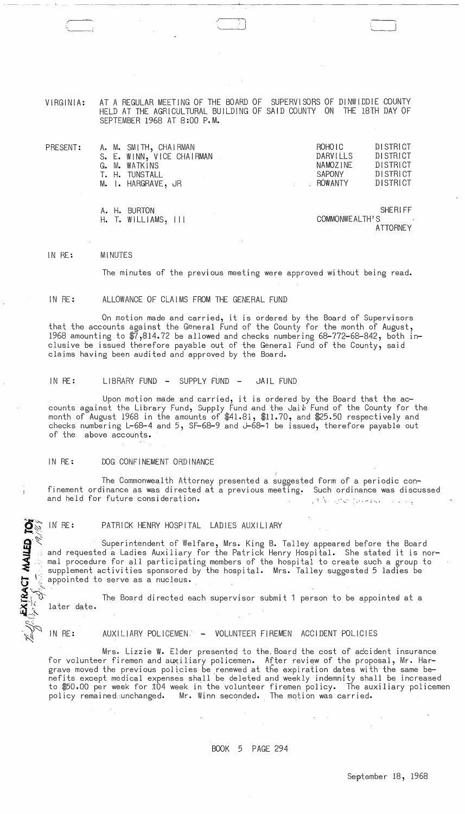VIRGINIA: AT A REGULAR MEETING OF THE BOARD OF SUPERVISORS OF DINWIDDIE COUNTY HELD AT THE AGRICULTURAL BUILDING OF SAID COUNTY ON THE 18TH DAY OF SEPTEMBER 1968 AT 8:00 P.M.

\ ..

| PRESENT: |       | A. M. SMITH, CHAIRMAN     | ROHO <sub>IC</sub> | <b>DISTRICT</b> |
|----------|-------|---------------------------|--------------------|-----------------|
|          |       | S. E. WINN, VICE CHAIRMAN | DARVILLS           | <b>DISTRICT</b> |
|          |       | G. M. WATKINS             | NAMOZINE           | DISTRICT        |
|          | T. H. | TUNSTALL                  | <b>SAPONY</b>      | <b>DISTRICT</b> |
|          |       | M. I. HARGRAVE, JR        | . ROWANTY          | DISTRICT        |
|          |       |                           |                    |                 |
|          |       |                           |                    |                 |
|          | A LI  | <b>DI IDTAN</b>           |                    | <b>CHERIEE</b>  |

A. H. BURTON SHERI FF H. T. WILLIAMS, III COMMONWEALTH'S ATTORNEY

#### IN RE: MINUTES

T MAILED

 $\frac{1}{2}$ 

 $\rightarrow$ 

The minutes of the previous meeting were approved without being read.

### IN RE: ALLOWANCE OF CLAIMS FROM THE GENERAL FUND

On motion made and carried, it is ordered by the Board of Supervisors that the accounts against the General Fund of the County for the month of August, 1968 amounting to  $\frac{1}{47}$ , 814.72 be allowed and checks numbering 68-772-68-842, both inclusive be issued therefore payable out of the General Fund of the County, said claims having been audited and approved by the Board.

IN RE: LIBRARY FUND - SUPPLY FUND - JAIL FUND

Upon motion made and carried, it is ordered by the Board that the accounts against the Library Fund, Supply Fund and the Jaib Fund of the County for the month of August 1968 in the amounts of \$41.81, \$11.70, and \$25.50 respectively and checks numbering L-68-4 and 5, SF-68-9 and J-68-1 be issued, therefore payable out of the above accounts.

### IN RE: DOG CONFINEMENT ORDINANCE

The Commonwealth Attorney presented a suggested form of a periodic confinement ordinance as was directed at a previous meeting. Such ordinance was discussed and held for future consideration.

IN RE: PATRICK HENRY HOSPITAL LADIES AUXILIARY

Superintendent of Welfare, Mrs. King B. Talley appeared before the Board and requested a Ladies Auxiliary for the Patrick Henry Hospital. She stated it is normal procedure for all participating members of the hospital to create such a group to supplement activities sponsored by the hospital. Mrs. Talley suggested 5 ladies be appointed to serve as a nucleus.

The Board directed each supervisor submit 1 person to be appointed at a later date.

IN RE: AUXILIARY POLICEMEN: - VOLUNTEER FIREMEN ACCIDENT POLICIES

 $\sim$ 

Mrs. Lizzie W. Elder presented to the Board the cost of accident insurance for volunteer firemen and auxiliary policemen. After review of the proposal, Mr. Hargrave moved the previous policies be renewed at the expiration dates with the same benefits except medical expenses shall be deleted and weekly indemnity shall be increased to \$50.00 per week for 104 week in the volunteer firemen policy. The auxiliary policemen policy remained unchanged. Mr. Winn seconded. The motion was carried.

 $\mathcal{A}^{\mathcal{A}}$  and  $\mathcal{A}^{\mathcal{A}}$ 

 $\sim 10^{-10}$